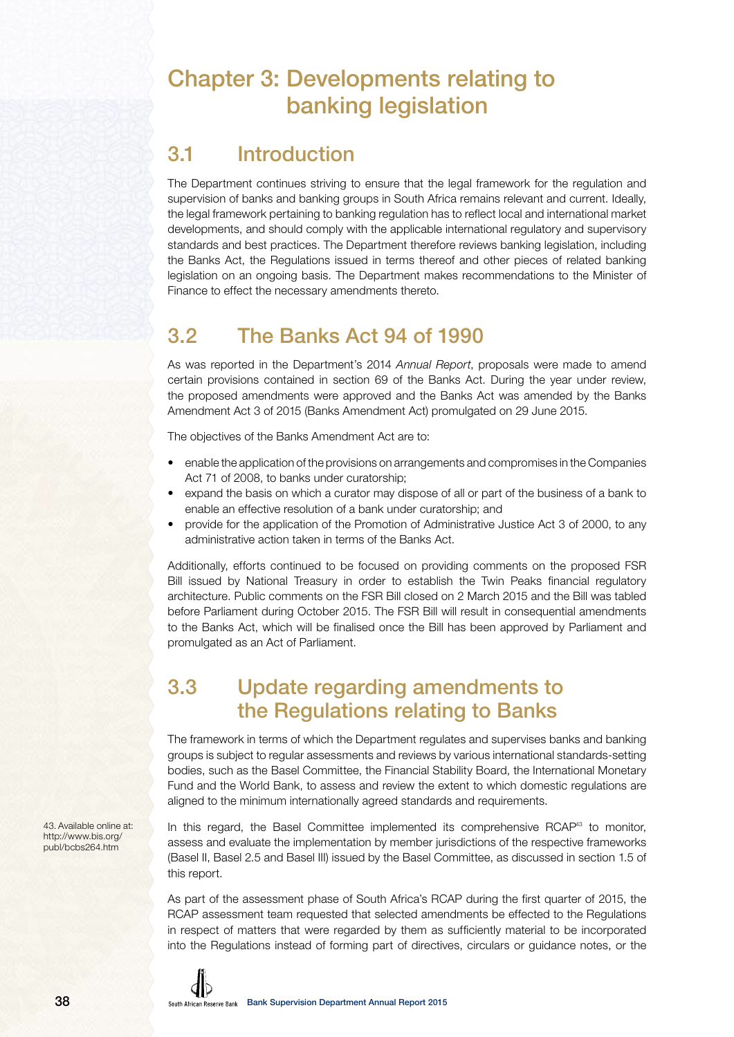## Chapter 3: Developments relating to banking legislation

## 3.1 Introduction

The Department continues striving to ensure that the legal framework for the regulation and supervision of banks and banking groups in South Africa remains relevant and current. Ideally, the legal framework pertaining to banking regulation has to reflect local and international market developments, and should comply with the applicable international regulatory and supervisory standards and best practices. The Department therefore reviews banking legislation, including the Banks Act, the Regulations issued in terms thereof and other pieces of related banking legislation on an ongoing basis. The Department makes recommendations to the Minister of Finance to effect the necessary amendments thereto.

## 3.2 The Banks Act 94 of 1990

As was reported in the Department's 2014 Annual Report, proposals were made to amend certain provisions contained in section 69 of the Banks Act. During the year under review, the proposed amendments were approved and the Banks Act was amended by the Banks Amendment Act 3 of 2015 (Banks Amendment Act) promulgated on 29 June 2015.

The objectives of the Banks Amendment Act are to:

- enable the application of the provisions on arrangements and compromises in the Companies Act 71 of 2008, to banks under curatorship;
- expand the basis on which a curator may dispose of all or part of the business of a bank to enable an effective resolution of a bank under curatorship; and
- provide for the application of the Promotion of Administrative Justice Act 3 of 2000, to any administrative action taken in terms of the Banks Act.

Additionally, efforts continued to be focused on providing comments on the proposed FSR Bill issued by National Treasury in order to establish the Twin Peaks financial regulatory architecture. Public comments on the FSR Bill closed on 2 March 2015 and the Bill was tabled before Parliament during October 2015. The FSR Bill will result in consequential amendments to the Banks Act, which will be finalised once the Bill has been approved by Parliament and promulgated as an Act of Parliament.

## 3.3 Update regarding amendments to the Regulations relating to Banks

The framework in terms of which the Department regulates and supervises banks and banking groups is subject to regular assessments and reviews by various international standards-setting bodies, such as the Basel Committee, the Financial Stability Board, the International Monetary Fund and the World Bank, to assess and review the extent to which domestic regulations are aligned to the minimum internationally agreed standards and requirements.

In this regard, the Basel Committee implemented its comprehensive RCAP<sup>43</sup> to monitor, assess and evaluate the implementation by member jurisdictions of the respective frameworks (Basel II, Basel 2.5 and Basel III) issued by the Basel Committee, as discussed in section 1.5 of this report.

As part of the assessment phase of South Africa's RCAP during the first quarter of 2015, the RCAP assessment team requested that selected amendments be effected to the Regulations in respect of matters that were regarded by them as sufficiently material to be incorporated into the Regulations instead of forming part of directives, circulars or guidance notes, or the

43. Available online at: http://www.bis.org/ publ/bcbs264.htm